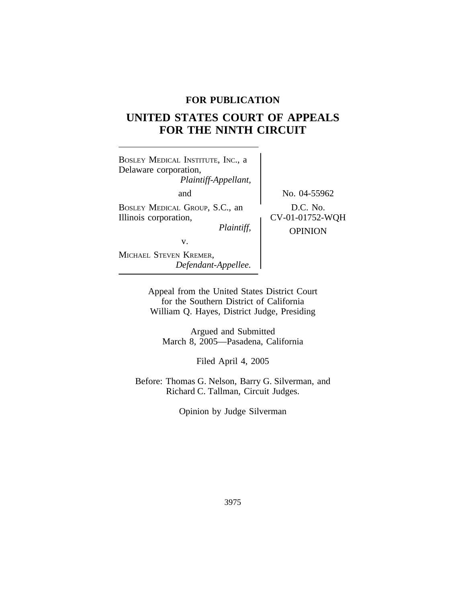## **FOR PUBLICATION**

# **UNITED STATES COURT OF APPEALS FOR THE NINTH CIRCUIT**

| BOSLEY MEDICAL INSTITUTE, INC., a<br>Delaware corporation,<br>Plaintiff-Appellant, |                                               |
|------------------------------------------------------------------------------------|-----------------------------------------------|
| and                                                                                | No. 04-55962                                  |
| BOSLEY MEDICAL GROUP, S.C., an<br>Illinois corporation,<br>Plaintiff,              | D.C. No.<br>CV-01-01752-WQH<br><b>OPINION</b> |
| v.                                                                                 |                                               |
| MICHAEL STEVEN KREMER,<br>Defendant-Appellee.                                      |                                               |

Appeal from the United States District Court for the Southern District of California William Q. Hayes, District Judge, Presiding

Argued and Submitted March 8, 2005—Pasadena, California

Filed April 4, 2005

Before: Thomas G. Nelson, Barry G. Silverman, and Richard C. Tallman, Circuit Judges.

Opinion by Judge Silverman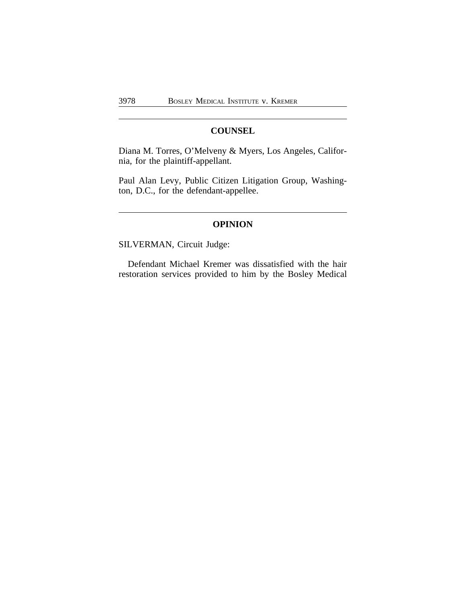## **COUNSEL**

Diana M. Torres, O'Melveny & Myers, Los Angeles, California, for the plaintiff-appellant.

Paul Alan Levy, Public Citizen Litigation Group, Washington, D.C., for the defendant-appellee.

## **OPINION**

SILVERMAN, Circuit Judge:

Defendant Michael Kremer was dissatisfied with the hair restoration services provided to him by the Bosley Medical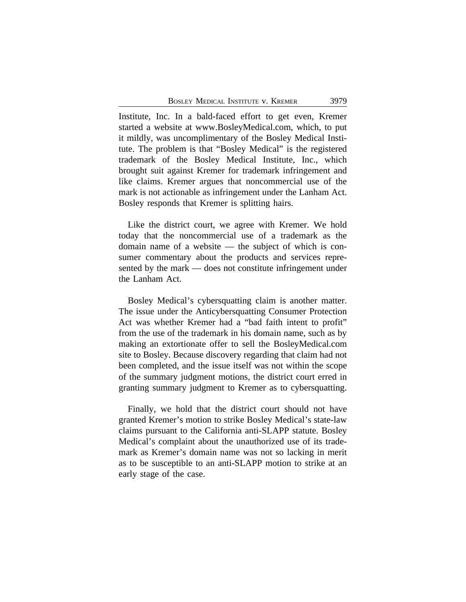Institute, Inc. In a bald-faced effort to get even, Kremer started a website at www.BosleyMedical.com, which, to put it mildly, was uncomplimentary of the Bosley Medical Institute. The problem is that "Bosley Medical" is the registered trademark of the Bosley Medical Institute, Inc., which brought suit against Kremer for trademark infringement and like claims. Kremer argues that noncommercial use of the mark is not actionable as infringement under the Lanham Act. Bosley responds that Kremer is splitting hairs.

Like the district court, we agree with Kremer. We hold today that the noncommercial use of a trademark as the domain name of a website — the subject of which is consumer commentary about the products and services represented by the mark — does not constitute infringement under the Lanham Act.

Bosley Medical's cybersquatting claim is another matter. The issue under the Anticybersquatting Consumer Protection Act was whether Kremer had a "bad faith intent to profit" from the use of the trademark in his domain name, such as by making an extortionate offer to sell the BosleyMedical.com site to Bosley. Because discovery regarding that claim had not been completed, and the issue itself was not within the scope of the summary judgment motions, the district court erred in granting summary judgment to Kremer as to cybersquatting.

Finally, we hold that the district court should not have granted Kremer's motion to strike Bosley Medical's state-law claims pursuant to the California anti-SLAPP statute. Bosley Medical's complaint about the unauthorized use of its trademark as Kremer's domain name was not so lacking in merit as to be susceptible to an anti-SLAPP motion to strike at an early stage of the case.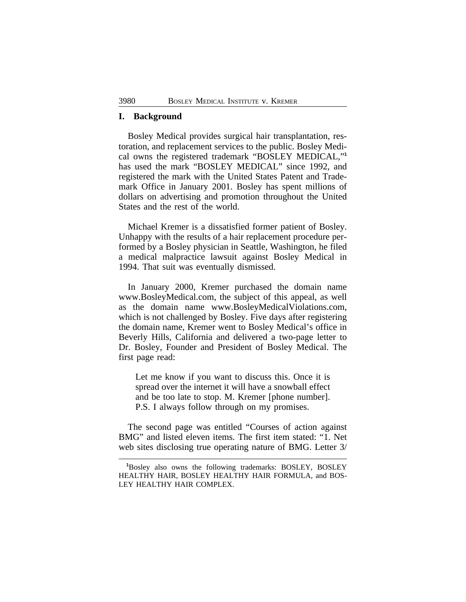#### **I. Background**

Bosley Medical provides surgical hair transplantation, restoration, and replacement services to the public. Bosley Medical owns the registered trademark "BOSLEY MEDICAL," **1** has used the mark "BOSLEY MEDICAL" since 1992, and registered the mark with the United States Patent and Trademark Office in January 2001. Bosley has spent millions of dollars on advertising and promotion throughout the United States and the rest of the world.

Michael Kremer is a dissatisfied former patient of Bosley. Unhappy with the results of a hair replacement procedure performed by a Bosley physician in Seattle, Washington, he filed a medical malpractice lawsuit against Bosley Medical in 1994. That suit was eventually dismissed.

In January 2000, Kremer purchased the domain name www.BosleyMedical.com, the subject of this appeal, as well as the domain name www.BosleyMedicalViolations.com, which is not challenged by Bosley. Five days after registering the domain name, Kremer went to Bosley Medical's office in Beverly Hills, California and delivered a two-page letter to Dr. Bosley, Founder and President of Bosley Medical. The first page read:

Let me know if you want to discuss this. Once it is spread over the internet it will have a snowball effect and be too late to stop. M. Kremer [phone number]. P.S. I always follow through on my promises.

The second page was entitled "Courses of action against BMG" and listed eleven items. The first item stated: "1. Net web sites disclosing true operating nature of BMG. Letter 3/

**<sup>1</sup>**Bosley also owns the following trademarks: BOSLEY, BOSLEY HEALTHY HAIR, BOSLEY HEALTHY HAIR FORMULA, and BOS-LEY HEALTHY HAIR COMPLEX.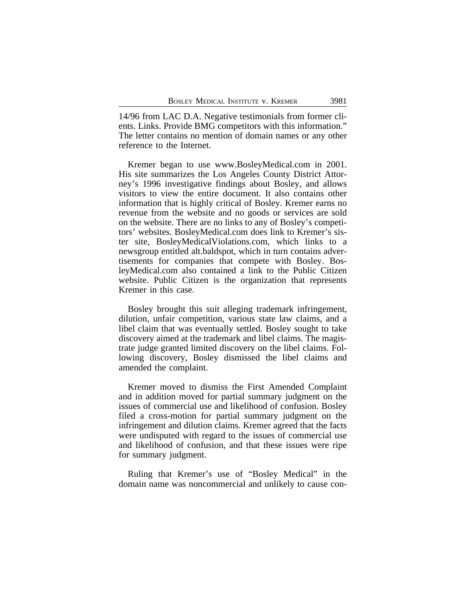14/96 from LAC D.A. Negative testimonials from former clients. Links. Provide BMG competitors with this information." The letter contains no mention of domain names or any other reference to the Internet.

Kremer began to use www.BosleyMedical.com in 2001. His site summarizes the Los Angeles County District Attorney's 1996 investigative findings about Bosley, and allows visitors to view the entire document. It also contains other information that is highly critical of Bosley. Kremer earns no revenue from the website and no goods or services are sold on the website. There are no links to any of Bosley's competitors' websites. BosleyMedical.com does link to Kremer's sister site, BosleyMedicalViolations.com, which links to a newsgroup entitled alt.baldspot, which in turn contains advertisements for companies that compete with Bosley. BosleyMedical.com also contained a link to the Public Citizen website. Public Citizen is the organization that represents Kremer in this case.

Bosley brought this suit alleging trademark infringement, dilution, unfair competition, various state law claims, and a libel claim that was eventually settled. Bosley sought to take discovery aimed at the trademark and libel claims. The magistrate judge granted limited discovery on the libel claims. Following discovery, Bosley dismissed the libel claims and amended the complaint.

Kremer moved to dismiss the First Amended Complaint and in addition moved for partial summary judgment on the issues of commercial use and likelihood of confusion. Bosley filed a cross-motion for partial summary judgment on the infringement and dilution claims. Kremer agreed that the facts were undisputed with regard to the issues of commercial use and likelihood of confusion, and that these issues were ripe for summary judgment.

Ruling that Kremer's use of "Bosley Medical" in the domain name was noncommercial and unlikely to cause con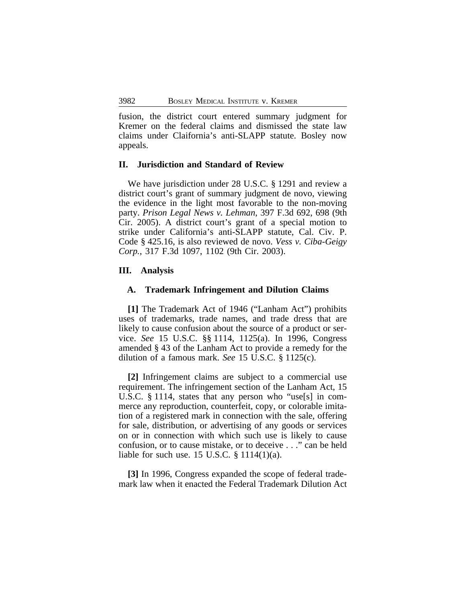fusion, the district court entered summary judgment for Kremer on the federal claims and dismissed the state law claims under Claifornia's anti-SLAPP statute. Bosley now appeals.

#### **II. Jurisdiction and Standard of Review**

We have jurisdiction under 28 U.S.C. § 1291 and review a district court's grant of summary judgment de novo, viewing the evidence in the light most favorable to the non-moving party. *Prison Legal News v. Lehman*, 397 F.3d 692, 698 (9th Cir. 2005). A district court's grant of a special motion to strike under California's anti-SLAPP statute, Cal. Civ. P. Code § 425.16, is also reviewed de novo. *Vess v. Ciba-Geigy Corp.*, 317 F.3d 1097, 1102 (9th Cir. 2003).

### **III. Analysis**

#### **A. Trademark Infringement and Dilution Claims**

**[1]** The Trademark Act of 1946 ("Lanham Act") prohibits uses of trademarks, trade names, and trade dress that are likely to cause confusion about the source of a product or service. *See* 15 U.S.C. §§ 1114, 1125(a). In 1996, Congress amended § 43 of the Lanham Act to provide a remedy for the dilution of a famous mark. *See* 15 U.S.C. § 1125(c).

**[2]** Infringement claims are subject to a commercial use requirement. The infringement section of the Lanham Act, 15 U.S.C. § 1114, states that any person who "use[s] in commerce any reproduction, counterfeit, copy, or colorable imitation of a registered mark in connection with the sale, offering for sale, distribution, or advertising of any goods or services on or in connection with which such use is likely to cause confusion, or to cause mistake, or to deceive . . ." can be held liable for such use. 15 U.S.C. § 1114(1)(a).

**[3]** In 1996, Congress expanded the scope of federal trademark law when it enacted the Federal Trademark Dilution Act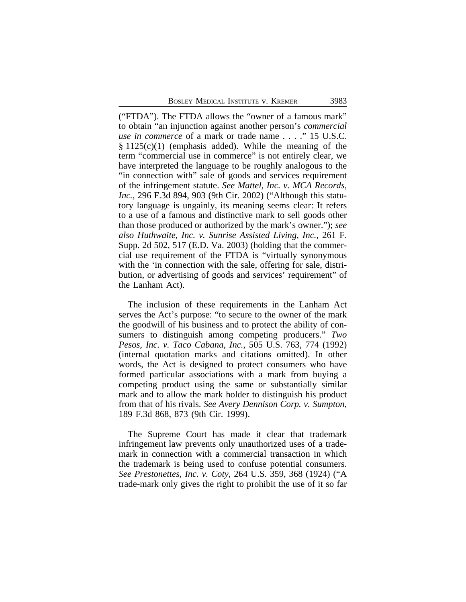("FTDA"). The FTDA allows the "owner of a famous mark" to obtain "an injunction against another person's *commercial use in commerce* of a mark or trade name . . . ." 15 U.S.C.  $§ 1125(c)(1)$  (emphasis added). While the meaning of the term "commercial use in commerce" is not entirely clear, we have interpreted the language to be roughly analogous to the "in connection with" sale of goods and services requirement of the infringement statute. *See Mattel, Inc. v. MCA Records, Inc.*, 296 F.3d 894, 903 (9th Cir. 2002) ("Although this statutory language is ungainly, its meaning seems clear: It refers to a use of a famous and distinctive mark to sell goods other than those produced or authorized by the mark's owner."); *see also Huthwaite, Inc. v. Sunrise Assisted Living, Inc.*, 261 F. Supp. 2d 502, 517 (E.D. Va. 2003) (holding that the commercial use requirement of the FTDA is "virtually synonymous with the 'in connection with the sale, offering for sale, distribution, or advertising of goods and services' requirement" of the Lanham Act).

The inclusion of these requirements in the Lanham Act serves the Act's purpose: "to secure to the owner of the mark the goodwill of his business and to protect the ability of consumers to distinguish among competing producers." *Two Pesos, Inc. v. Taco Cabana, Inc.*, 505 U.S. 763, 774 (1992) (internal quotation marks and citations omitted). In other words, the Act is designed to protect consumers who have formed particular associations with a mark from buying a competing product using the same or substantially similar mark and to allow the mark holder to distinguish his product from that of his rivals. *See Avery Dennison Corp. v. Sumpton*, 189 F.3d 868, 873 (9th Cir. 1999).

The Supreme Court has made it clear that trademark infringement law prevents only unauthorized uses of a trademark in connection with a commercial transaction in which the trademark is being used to confuse potential consumers. *See Prestonettes, Inc. v. Coty*, 264 U.S. 359, 368 (1924) ("A trade-mark only gives the right to prohibit the use of it so far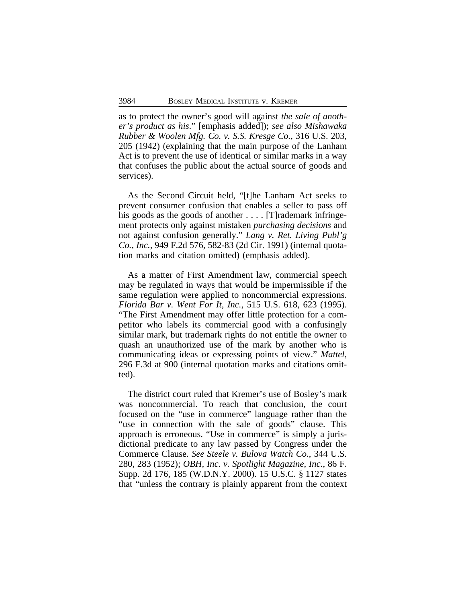as to protect the owner's good will against *the sale of another's product as his*." [emphasis added]); *see also Mishawaka Rubber & Woolen Mfg. Co. v. S.S. Kresge Co.*, 316 U.S. 203, 205 (1942) (explaining that the main purpose of the Lanham Act is to prevent the use of identical or similar marks in a way that confuses the public about the actual source of goods and services).

As the Second Circuit held, "[t]he Lanham Act seeks to prevent consumer confusion that enables a seller to pass off his goods as the goods of another .... [T]rademark infringement protects only against mistaken *purchasing decisions* and not against confusion generally." *Lang v. Ret. Living Publ'g Co., Inc.*, 949 F.2d 576, 582-83 (2d Cir. 1991) (internal quotation marks and citation omitted) (emphasis added).

As a matter of First Amendment law, commercial speech may be regulated in ways that would be impermissible if the same regulation were applied to noncommercial expressions. *Florida Bar v. Went For It, Inc.*, 515 U.S. 618, 623 (1995). "The First Amendment may offer little protection for a competitor who labels its commercial good with a confusingly similar mark, but trademark rights do not entitle the owner to quash an unauthorized use of the mark by another who is communicating ideas or expressing points of view." *Mattel*, 296 F.3d at 900 (internal quotation marks and citations omitted).

The district court ruled that Kremer's use of Bosley's mark was noncommercial. To reach that conclusion, the court focused on the "use in commerce" language rather than the "use in connection with the sale of goods" clause. This approach is erroneous. "Use in commerce" is simply a jurisdictional predicate to any law passed by Congress under the Commerce Clause. *See Steele v. Bulova Watch Co.*, 344 U.S. 280, 283 (1952); *OBH, Inc. v. Spotlight Magazine, Inc.*, 86 F. Supp. 2d 176, 185 (W.D.N.Y. 2000). 15 U.S.C. § 1127 states that "unless the contrary is plainly apparent from the context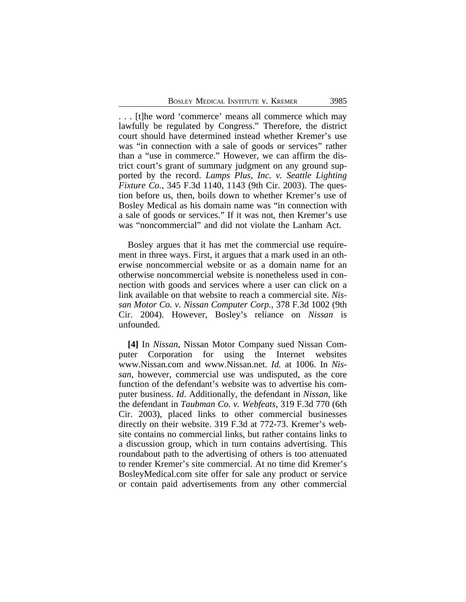. . . [t]he word 'commerce' means all commerce which may lawfully be regulated by Congress." Therefore, the district court should have determined instead whether Kremer's use was "in connection with a sale of goods or services" rather than a "use in commerce." However, we can affirm the district court's grant of summary judgment on any ground supported by the record. *Lamps Plus, Inc. v. Seattle Lighting Fixture Co.*, 345 F.3d 1140, 1143 (9th Cir. 2003). The question before us, then, boils down to whether Kremer's use of Bosley Medical as his domain name was "in connection with a sale of goods or services." If it was not, then Kremer's use was "noncommercial" and did not violate the Lanham Act.

Bosley argues that it has met the commercial use requirement in three ways. First, it argues that a mark used in an otherwise noncommercial website or as a domain name for an otherwise noncommercial website is nonetheless used in connection with goods and services where a user can click on a link available on that website to reach a commercial site. *Nissan Motor Co. v. Nissan Computer Corp.*, 378 F.3d 1002 (9th Cir. 2004). However, Bosley's reliance on *Nissan* is unfounded.

**[4]** In *Nissan*, Nissan Motor Company sued Nissan Computer Corporation for using the Internet websites www.Nissan.com and www.Nissan.net. *Id.* at 1006. In *Nissan*, however, commercial use was undisputed, as the core function of the defendant's website was to advertise his computer business. *Id*. Additionally, the defendant in *Nissan*, like the defendant in *Taubman Co. v. Webfeats*, 319 F.3d 770 (6th Cir. 2003), placed links to other commercial businesses directly on their website. 319 F.3d at 772-73. Kremer's website contains no commercial links, but rather contains links to a discussion group, which in turn contains advertising. This roundabout path to the advertising of others is too attenuated to render Kremer's site commercial. At no time did Kremer's BosleyMedical.com site offer for sale any product or service or contain paid advertisements from any other commercial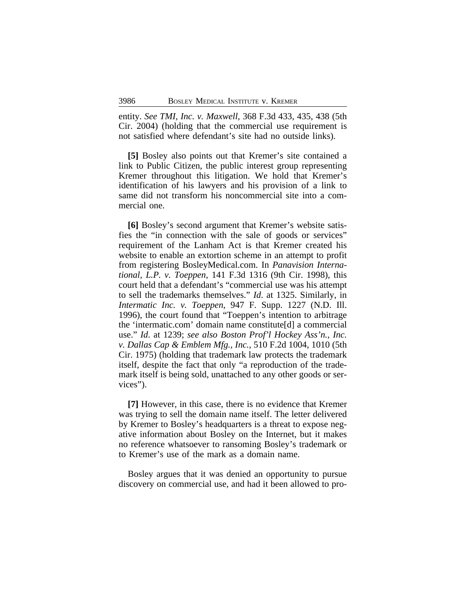entity. *See TMI, Inc. v. Maxwell*, 368 F.3d 433, 435, 438 (5th Cir. 2004) (holding that the commercial use requirement is not satisfied where defendant's site had no outside links).

**[5]** Bosley also points out that Kremer's site contained a link to Public Citizen, the public interest group representing Kremer throughout this litigation. We hold that Kremer's identification of his lawyers and his provision of a link to same did not transform his noncommercial site into a commercial one.

**[6]** Bosley's second argument that Kremer's website satisfies the "in connection with the sale of goods or services" requirement of the Lanham Act is that Kremer created his website to enable an extortion scheme in an attempt to profit from registering BosleyMedical.com. In *Panavision International, L.P. v. Toeppen*, 141 F.3d 1316 (9th Cir. 1998), this court held that a defendant's "commercial use was his attempt to sell the trademarks themselves." *Id*. at 1325. Similarly, in *Intermatic Inc. v. Toeppen*, 947 F. Supp. 1227 (N.D. Ill. 1996), the court found that "Toeppen's intention to arbitrage the 'intermatic.com' domain name constitute[d] a commercial use." *Id*. at 1239; *see also Boston Prof'l Hockey Ass'n., Inc. v. Dallas Cap & Emblem Mfg., Inc.*, 510 F.2d 1004, 1010 (5th Cir. 1975) (holding that trademark law protects the trademark itself, despite the fact that only "a reproduction of the trademark itself is being sold, unattached to any other goods or services").

**[7]** However, in this case, there is no evidence that Kremer was trying to sell the domain name itself. The letter delivered by Kremer to Bosley's headquarters is a threat to expose negative information about Bosley on the Internet, but it makes no reference whatsoever to ransoming Bosley's trademark or to Kremer's use of the mark as a domain name.

Bosley argues that it was denied an opportunity to pursue discovery on commercial use, and had it been allowed to pro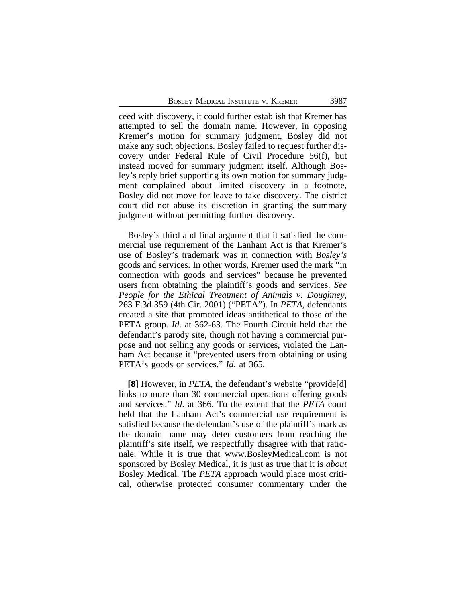ceed with discovery, it could further establish that Kremer has attempted to sell the domain name. However, in opposing Kremer's motion for summary judgment, Bosley did not make any such objections. Bosley failed to request further discovery under Federal Rule of Civil Procedure 56(f), but instead moved for summary judgment itself. Although Bosley's reply brief supporting its own motion for summary judgment complained about limited discovery in a footnote, Bosley did not move for leave to take discovery. The district court did not abuse its discretion in granting the summary judgment without permitting further discovery.

Bosley's third and final argument that it satisfied the commercial use requirement of the Lanham Act is that Kremer's use of Bosley's trademark was in connection with *Bosley's* goods and services. In other words, Kremer used the mark "in connection with goods and services" because he prevented users from obtaining the plaintiff's goods and services. *See People for the Ethical Treatment of Animals v. Doughney*, 263 F.3d 359 (4th Cir. 2001) ("PETA"). In *PETA*, defendants created a site that promoted ideas antithetical to those of the PETA group. *Id*. at 362-63. The Fourth Circuit held that the defendant's parody site, though not having a commercial purpose and not selling any goods or services, violated the Lanham Act because it "prevented users from obtaining or using PETA's goods or services." *Id*. at 365.

**[8]** However, in *PETA*, the defendant's website "provide[d] links to more than 30 commercial operations offering goods and services." *Id*. at 366. To the extent that the *PETA* court held that the Lanham Act's commercial use requirement is satisfied because the defendant's use of the plaintiff's mark as the domain name may deter customers from reaching the plaintiff's site itself, we respectfully disagree with that rationale. While it is true that www.BosleyMedical.com is not sponsored by Bosley Medical, it is just as true that it is *about* Bosley Medical. The *PETA* approach would place most critical, otherwise protected consumer commentary under the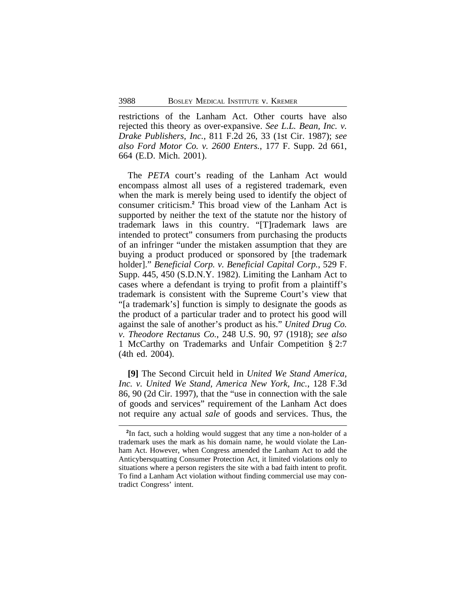restrictions of the Lanham Act. Other courts have also rejected this theory as over-expansive. *See L.L. Bean, Inc. v. Drake Publishers, Inc.*, 811 F.2d 26, 33 (1st Cir. 1987); *see also Ford Motor Co. v. 2600 Enters.*, 177 F. Supp. 2d 661, 664 (E.D. Mich. 2001).

The *PETA* court's reading of the Lanham Act would encompass almost all uses of a registered trademark, even when the mark is merely being used to identify the object of consumer criticism.**<sup>2</sup>** This broad view of the Lanham Act is supported by neither the text of the statute nor the history of trademark laws in this country. "[T]rademark laws are intended to protect" consumers from purchasing the products of an infringer "under the mistaken assumption that they are buying a product produced or sponsored by [the trademark holder]." *Beneficial Corp. v. Beneficial Capital Corp.*, 529 F. Supp. 445, 450 (S.D.N.Y. 1982). Limiting the Lanham Act to cases where a defendant is trying to profit from a plaintiff's trademark is consistent with the Supreme Court's view that "[a trademark's] function is simply to designate the goods as the product of a particular trader and to protect his good will against the sale of another's product as his." *United Drug Co. v. Theodore Rectanus Co.*, 248 U.S. 90, 97 (1918); *see also* 1 McCarthy on Trademarks and Unfair Competition § 2:7 (4th ed. 2004).

**[9]** The Second Circuit held in *United We Stand America, Inc. v. United We Stand, America New York, Inc.*, 128 F.3d 86, 90 (2d Cir. 1997), that the "use in connection with the sale of goods and services" requirement of the Lanham Act does not require any actual *sale* of goods and services. Thus, the

**<sup>2</sup>** In fact, such a holding would suggest that any time a non-holder of a trademark uses the mark as his domain name, he would violate the Lanham Act. However, when Congress amended the Lanham Act to add the Anticybersquatting Consumer Protection Act, it limited violations only to situations where a person registers the site with a bad faith intent to profit. To find a Lanham Act violation without finding commercial use may contradict Congress' intent.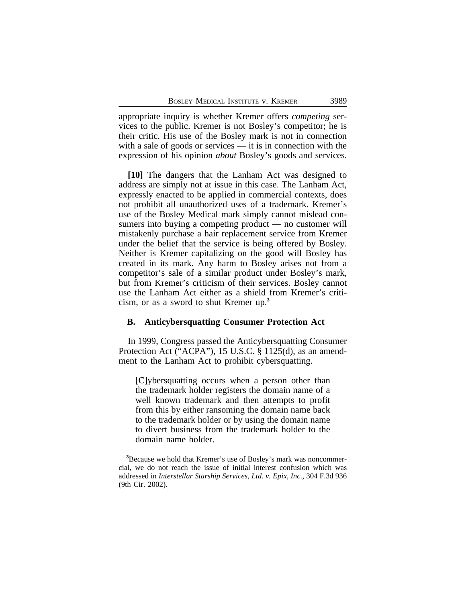appropriate inquiry is whether Kremer offers *competing* services to the public. Kremer is not Bosley's competitor; he is their critic. His use of the Bosley mark is not in connection with a sale of goods or services — it is in connection with the expression of his opinion *about* Bosley's goods and services.

**[10]** The dangers that the Lanham Act was designed to address are simply not at issue in this case. The Lanham Act, expressly enacted to be applied in commercial contexts, does not prohibit all unauthorized uses of a trademark. Kremer's use of the Bosley Medical mark simply cannot mislead consumers into buying a competing product — no customer will mistakenly purchase a hair replacement service from Kremer under the belief that the service is being offered by Bosley. Neither is Kremer capitalizing on the good will Bosley has created in its mark. Any harm to Bosley arises not from a competitor's sale of a similar product under Bosley's mark, but from Kremer's criticism of their services. Bosley cannot use the Lanham Act either as a shield from Kremer's criticism, or as a sword to shut Kremer up.**<sup>3</sup>**

#### **B. Anticybersquatting Consumer Protection Act**

In 1999, Congress passed the Anticybersquatting Consumer Protection Act ("ACPA"), 15 U.S.C. § 1125(d), as an amendment to the Lanham Act to prohibit cybersquatting.

[C]ybersquatting occurs when a person other than the trademark holder registers the domain name of a well known trademark and then attempts to profit from this by either ransoming the domain name back to the trademark holder or by using the domain name to divert business from the trademark holder to the domain name holder.

**<sup>3</sup>**Because we hold that Kremer's use of Bosley's mark was noncommercial, we do not reach the issue of initial interest confusion which was addressed in *Interstellar Starship Services, Ltd. v. Epix, Inc.*, 304 F.3d 936 (9th Cir. 2002).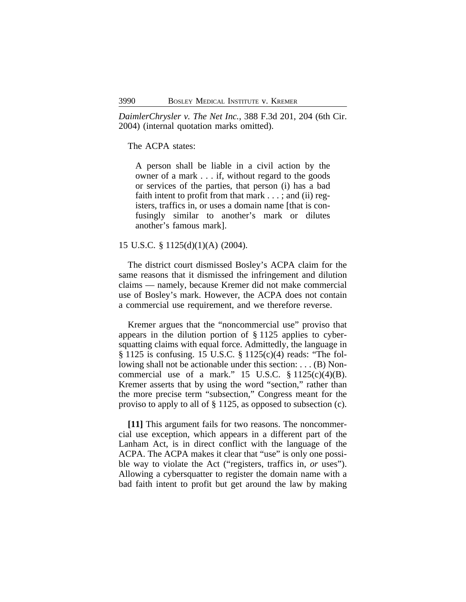*DaimlerChrysler v. The Net Inc.*, 388 F.3d 201, 204 (6th Cir. 2004) (internal quotation marks omitted).

## The ACPA states:

A person shall be liable in a civil action by the owner of a mark . . . if, without regard to the goods or services of the parties, that person (i) has a bad faith intent to profit from that mark  $\dots$ ; and (ii) registers, traffics in, or uses a domain name [that is confusingly similar to another's mark or dilutes another's famous mark].

#### 15 U.S.C. § 1125(d)(1)(A) (2004).

The district court dismissed Bosley's ACPA claim for the same reasons that it dismissed the infringement and dilution claims — namely, because Kremer did not make commercial use of Bosley's mark. However, the ACPA does not contain a commercial use requirement, and we therefore reverse.

Kremer argues that the "noncommercial use" proviso that appears in the dilution portion of § 1125 applies to cybersquatting claims with equal force. Admittedly, the language in § 1125 is confusing. 15 U.S.C. § 1125(c)(4) reads: "The following shall not be actionable under this section: . . . (B) Noncommercial use of a mark." 15 U.S.C.  $\S 1125(c)(4)(B)$ . Kremer asserts that by using the word "section," rather than the more precise term "subsection," Congress meant for the proviso to apply to all of § 1125, as opposed to subsection (c).

**[11]** This argument fails for two reasons. The noncommercial use exception, which appears in a different part of the Lanham Act, is in direct conflict with the language of the ACPA. The ACPA makes it clear that "use" is only one possible way to violate the Act ("registers, traffics in, *or* uses"). Allowing a cybersquatter to register the domain name with a bad faith intent to profit but get around the law by making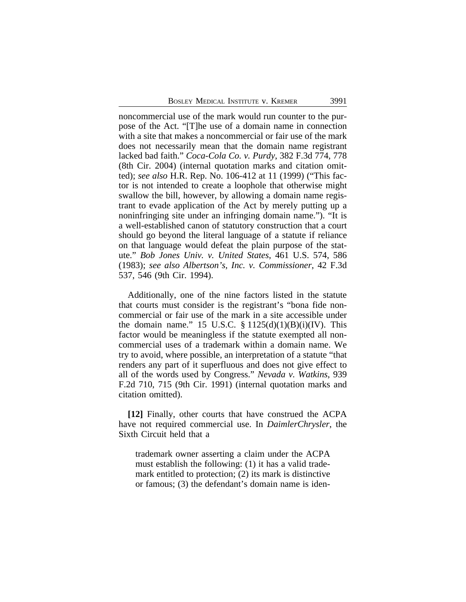noncommercial use of the mark would run counter to the purpose of the Act. "[T]he use of a domain name in connection with a site that makes a noncommercial or fair use of the mark does not necessarily mean that the domain name registrant lacked bad faith." *Coca-Cola Co. v. Purdy*, 382 F.3d 774, 778 (8th Cir. 2004) (internal quotation marks and citation omitted); *see also* H.R. Rep. No. 106-412 at 11 (1999) ("This factor is not intended to create a loophole that otherwise might swallow the bill, however, by allowing a domain name registrant to evade application of the Act by merely putting up a noninfringing site under an infringing domain name."). "It is a well-established canon of statutory construction that a court should go beyond the literal language of a statute if reliance on that language would defeat the plain purpose of the statute." *Bob Jones Univ. v. United States*, 461 U.S. 574, 586 (1983); *see also Albertson's, Inc. v. Commissioner*, 42 F.3d 537, 546 (9th Cir. 1994).

Additionally, one of the nine factors listed in the statute that courts must consider is the registrant's "bona fide noncommercial or fair use of the mark in a site accessible under the domain name." 15 U.S.C.  $\S 1125(d)(1)(B)(i)(IV)$ . This factor would be meaningless if the statute exempted all noncommercial uses of a trademark within a domain name. We try to avoid, where possible, an interpretation of a statute "that renders any part of it superfluous and does not give effect to all of the words used by Congress." *Nevada v. Watkins*, 939 F.2d 710, 715 (9th Cir. 1991) (internal quotation marks and citation omitted).

**[12]** Finally, other courts that have construed the ACPA have not required commercial use. In *DaimlerChrysler*, the Sixth Circuit held that a

trademark owner asserting a claim under the ACPA must establish the following: (1) it has a valid trademark entitled to protection; (2) its mark is distinctive or famous; (3) the defendant's domain name is iden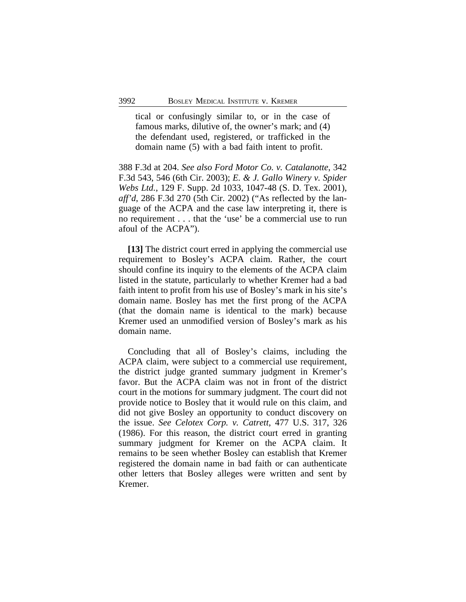tical or confusingly similar to, or in the case of famous marks, dilutive of, the owner's mark; and (4) the defendant used, registered, or trafficked in the domain name (5) with a bad faith intent to profit.

388 F.3d at 204. *See also Ford Motor Co. v. Catalanotte*, 342 F.3d 543, 546 (6th Cir. 2003); *E. & J. Gallo Winery v. Spider Webs Ltd.*, 129 F. Supp. 2d 1033, 1047-48 (S. D. Tex. 2001), *aff'd*, 286 F.3d 270 (5th Cir. 2002) ("As reflected by the language of the ACPA and the case law interpreting it, there is no requirement . . . that the 'use' be a commercial use to run afoul of the ACPA").

**[13]** The district court erred in applying the commercial use requirement to Bosley's ACPA claim. Rather, the court should confine its inquiry to the elements of the ACPA claim listed in the statute, particularly to whether Kremer had a bad faith intent to profit from his use of Bosley's mark in his site's domain name. Bosley has met the first prong of the ACPA (that the domain name is identical to the mark) because Kremer used an unmodified version of Bosley's mark as his domain name.

Concluding that all of Bosley's claims, including the ACPA claim, were subject to a commercial use requirement, the district judge granted summary judgment in Kremer's favor. But the ACPA claim was not in front of the district court in the motions for summary judgment. The court did not provide notice to Bosley that it would rule on this claim, and did not give Bosley an opportunity to conduct discovery on the issue. *See Celotex Corp. v. Catrett*, 477 U.S. 317, 326 (1986). For this reason, the district court erred in granting summary judgment for Kremer on the ACPA claim. It remains to be seen whether Bosley can establish that Kremer registered the domain name in bad faith or can authenticate other letters that Bosley alleges were written and sent by Kremer.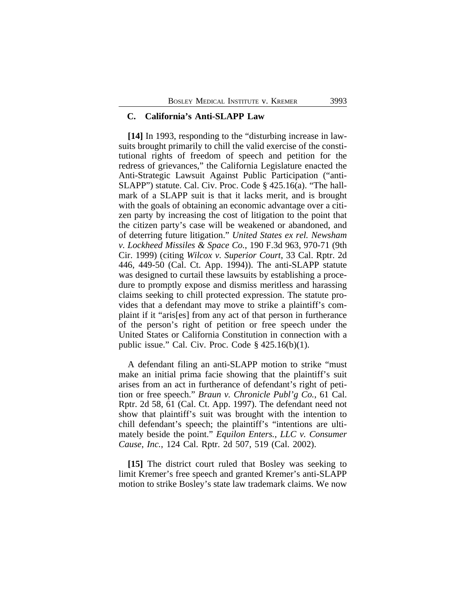## **C. California's Anti-SLAPP Law**

**[14]** In 1993, responding to the "disturbing increase in lawsuits brought primarily to chill the valid exercise of the constitutional rights of freedom of speech and petition for the redress of grievances," the California Legislature enacted the Anti-Strategic Lawsuit Against Public Participation ("anti-SLAPP") statute. Cal. Civ. Proc. Code § 425.16(a). "The hallmark of a SLAPP suit is that it lacks merit, and is brought with the goals of obtaining an economic advantage over a citizen party by increasing the cost of litigation to the point that the citizen party's case will be weakened or abandoned, and of deterring future litigation." *United States ex rel. Newsham v. Lockheed Missiles & Space Co.*, 190 F.3d 963, 970-71 (9th Cir. 1999) (citing *Wilcox v. Superior Court*, 33 Cal. Rptr. 2d 446, 449-50 (Cal. Ct. App. 1994)). The anti-SLAPP statute was designed to curtail these lawsuits by establishing a procedure to promptly expose and dismiss meritless and harassing claims seeking to chill protected expression. The statute provides that a defendant may move to strike a plaintiff's complaint if it "aris[es] from any act of that person in furtherance of the person's right of petition or free speech under the United States or California Constitution in connection with a public issue." Cal. Civ. Proc. Code  $\S$  425.16(b)(1).

A defendant filing an anti-SLAPP motion to strike "must make an initial prima facie showing that the plaintiff's suit arises from an act in furtherance of defendant's right of petition or free speech." *Braun v. Chronicle Publ'g Co.*, 61 Cal. Rptr. 2d 58, 61 (Cal. Ct. App. 1997). The defendant need not show that plaintiff's suit was brought with the intention to chill defendant's speech; the plaintiff's "intentions are ultimately beside the point." *Equilon Enters.*, *LLC v. Consumer Cause*, *Inc.*, 124 Cal. Rptr. 2d 507, 519 (Cal. 2002).

**[15]** The district court ruled that Bosley was seeking to limit Kremer's free speech and granted Kremer's anti-SLAPP motion to strike Bosley's state law trademark claims. We now